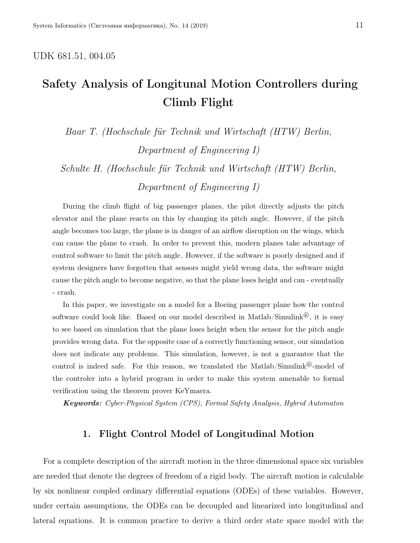#### UDK 681.51, 004.05

# Safety Analysis of Longitunal Motion Controllers during Climb Flight

Baar T. (Hochschule für Technik und Wirtschaft (HTW) Berlin, Department of Engineering I)

Schulte H. (Hochschule für Technik und Wirtschaft (HTW) Berlin, Department of Engineering I)

During the climb flight of big passenger planes, the pilot directly adjusts the pitch elevator and the plane reacts on this by changing its pitch angle. However, if the pitch angle becomes too large, the plane is in danger of an airflow disruption on the wings, which can cause the plane to crash. In order to prevent this, modern planes take advantage of control software to limit the pitch angle. However, if the software is poorly designed and if system designers have forgotten that sensors might yield wrong data, the software might cause the pitch angle to become negative, so that the plane loses height and can - eventually - crash.

In this paper, we investigate on a model for a Boeing passenger plane how the control software could look like. Based on our model described in Matlab/Simulink<sup>®</sup>, it is easy to see based on simulation that the plane loses height when the sensor for the pitch angle provides wrong data. For the opposite case of a correctly functioning sensor, our simulation does not indicate any problems. This simulation, however, is not a guarantee that the control is indeed safe. For this reason, we translated the Matlab/Simulink<sup>®</sup>-model of the controler into a hybrid program in order to make this system amenable to formal verification using the theorem prover KeYmaera.

Keywords: Cyber-Physical System (CPS), Formal Safety Analysis, Hybrid Automaton

#### 1. Flight Control Model of Longitudinal Motion

For a complete description of the aircraft motion in the three dimensional space six variables are needed that denote the degrees of freedom of a rigid body. The aircraft motion is calculable by six nonlinear coupled ordinary differential equations (ODEs) of these variables. However, under certain assumptions, the ODEs can be decoupled and linearized into longitudinal and lateral equations. It is common practice to derive a third order state space model with the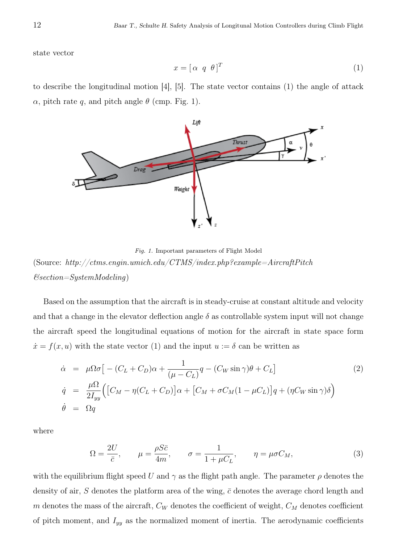state vector

$$
x = [\alpha \ q \ \theta]^T \tag{1}
$$

to describe the longitudinal motion  $[4]$ ,  $[5]$ . The state vector contains  $(1)$  the angle of attack  $\alpha$ , pitch rate q, and pitch angle  $\theta$  (cmp. Fig. 1).



Fig. 1. Important parameters of Flight Model  $(\text{Source: } \textit{http://ctms.engin.umich.edu/CTMS/index.php?example=AircraftPitch$  $E*section* = SystemModeling)$ 

Based on the assumption that the aircraft is in steady-cruise at constant altitude and velocity and that a change in the elevator deflection angle  $\delta$  as controllable system input will not change the aircraft speed the longitudinal equations of motion for the aircraft in state space form  $\dot{x} = f(x, u)$  with the state vector (1) and the input  $u := \delta$  can be written as

$$
\dot{\alpha} = \mu \Omega \sigma \left[ - (C_L + C_D) \alpha + \frac{1}{(\mu - C_L)} q - (C_W \sin \gamma) \theta + C_L \right]
$$
\n
$$
\dot{q} = \frac{\mu \Omega}{2I_{yy}} \Big( \left[ C_M - \eta (C_L + C_D) \right] \alpha + \left[ C_M + \sigma C_M (1 - \mu C_L) \right] q + (\eta C_W \sin \gamma) \delta \Big)
$$
\n
$$
\dot{\theta} = \Omega q \tag{2}
$$

where

$$
\Omega = \frac{2U}{\bar{c}}, \qquad \mu = \frac{\rho S \bar{c}}{4m}, \qquad \sigma = \frac{1}{1 + \mu C_L}, \qquad \eta = \mu \sigma C_M,\tag{3}
$$

with the equilibrium flight speed U and  $\gamma$  as the flight path angle. The parameter  $\rho$  denotes the density of air, S denotes the platform area of the wing,  $\bar{c}$  denotes the average chord length and  $m$  denotes the mass of the aircraft,  $C_W$  denotes the coefficient of weight,  $C_M$  denotes coefficient of pitch moment, and  $I_{yy}$  as the normalized moment of inertia. The aerodynamic coefficients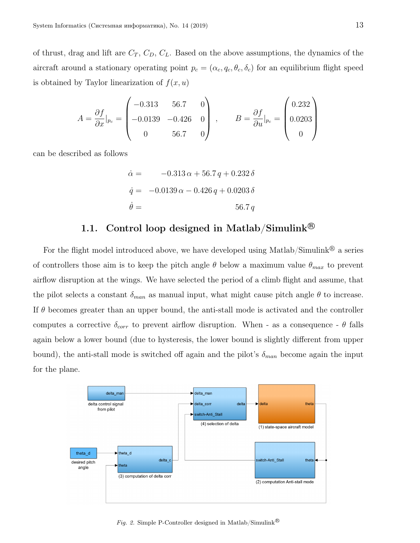of thrust, drag and lift are  $C_T$ ,  $C_D$ ,  $C_L$ . Based on the above assumptions, the dynamics of the aircraft around a stationary operating point  $p_c = (\alpha_c, q_c, \theta_c, \delta_c)$  for an equilibrium flight speed is obtained by Taylor linearization of  $f(x, u)$ 

$$
A = \frac{\partial f}{\partial x}|_{p_c} = \begin{pmatrix} -0.313 & 56.7 & 0 \\ -0.0139 & -0.426 & 0 \\ 0 & 56.7 & 0 \end{pmatrix}, \qquad B = \frac{\partial f}{\partial u}|_{p_c} = \begin{pmatrix} 0.232 \\ 0.0203 \\ 0 \end{pmatrix}
$$

can be described as follows

$$
\dot{\alpha} = -0.313 \alpha + 56.7 q + 0.232 \delta
$$
  

$$
\dot{q} = -0.0139 \alpha - 0.426 q + 0.0203 \delta
$$
  

$$
\dot{\theta} = 56.7 q
$$

## 1.1. Control loop designed in Matlab/Simulink<sup>®</sup>

For the flight model introduced above, we have developed using Matlab/Simulink<sup>®</sup> a series of controllers those aim is to keep the pitch angle  $\theta$  below a maximum value  $\theta_{max}$  to prevent airflow disruption at the wings. We have selected the period of a climb flight and assume, that the pilot selects a constant  $\delta_{man}$  as manual input, what might cause pitch angle  $\theta$  to increase. If  $\theta$  becomes greater than an upper bound, the anti-stall mode is activated and the controller computes a corrective  $\delta_{corr}$  to prevent airflow disruption. When - as a consequence -  $\theta$  falls again below a lower bound (due to hysteresis, the lower bound is slightly different from upper bound), the anti-stall mode is switched off again and the pilot's  $\delta_{man}$  become again the input for the plane.



Fig. 2. Simple P-Controller designed in Matlab/Simulink  $^{\circledR}$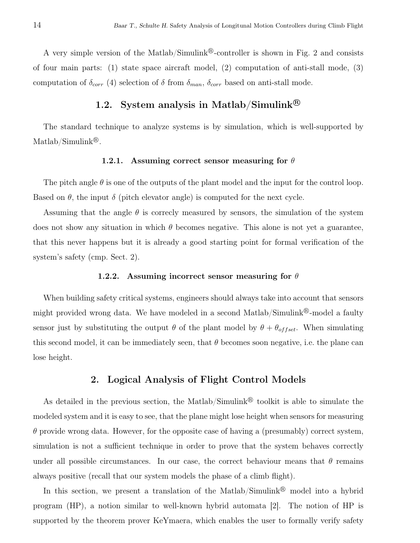A very simple version of the Matlab/Simulink<sup>®</sup>-controller is shown in Fig. 2 and consists of four main parts: (1) state space aircraft model, (2) computation of anti-stall mode, (3) computation of  $\delta_{corr}$  (4) selection of  $\delta$  from  $\delta_{man}$ ,  $\delta_{corr}$  based on anti-stall mode.

## 1.2. System analysis in Matlab/Simulink <sup>R</sup>

The standard technique to analyze systems is by simulation, which is well-supported by Matlab/Simulink<sup>®</sup>.

#### 1.2.1. Assuming correct sensor measuring for  $\theta$

The pitch angle  $\theta$  is one of the outputs of the plant model and the input for the control loop. Based on  $\theta$ , the input  $\delta$  (pitch elevator angle) is computed for the next cycle.

Assuming that the angle  $\theta$  is correcly measured by sensors, the simulation of the system does not show any situation in which  $\theta$  becomes negative. This alone is not yet a guarantee, that this never happens but it is already a good starting point for formal verification of the system's safety (cmp. Sect. 2).

#### 1.2.2. Assuming incorrect sensor measuring for  $\theta$

When building safety critical systems, engineers should always take into account that sensors might provided wrong data. We have modeled in a second Matlab/Simulink<sup>®</sup>-model a faulty sensor just by substituting the output  $\theta$  of the plant model by  $\theta + \theta_{offset}$ . When simulating this second model, it can be immediately seen, that  $\theta$  becomes soon negative, i.e. the plane can lose height.

#### 2. Logical Analysis of Flight Control Models

As detailed in the previous section, the Matlab/Simulink<sup>®</sup> toolkit is able to simulate the modeled system and it is easy to see, that the plane might lose height when sensors for measuring  $\theta$  provide wrong data. However, for the opposite case of having a (presumably) correct system, simulation is not a sufficient technique in order to prove that the system behaves correctly under all possible circumstances. In our case, the correct behaviour means that  $\theta$  remains always positive (recall that our system models the phase of a climb flight).

In this section, we present a translation of the Matlab/Simulink<sup>®</sup> model into a hybrid program (HP), a notion similar to well-known hybrid automata [2]. The notion of HP is supported by the theorem prover KeYmaera, which enables the user to formally verify safety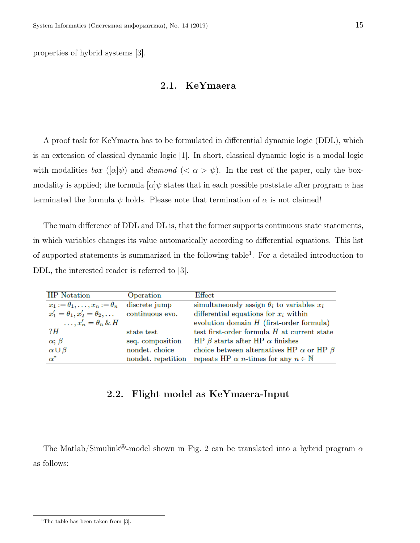properties of hybrid systems [3].

#### 2.1. KeYmaera

A proof task for KeYmaera has to be formulated in differential dynamic logic (DDL), which is an extension of classical dynamic logic [1]. In short, classical dynamic logic is a modal logic with modalities box  $([\alpha]\psi)$  and diamond  $( $\alpha > \psi$ ). In the rest of the paper, only the box$ modality is applied; the formula  $\alpha|\psi$  states that in each possible poststate after program  $\alpha$  has terminated the formula  $\psi$  holds. Please note that termination of  $\alpha$  is not claimed!

The main difference of DDL and DL is, that the former supports continuous state statements, in which variables changes its value automatically according to differential equations. This list of supported statements is summarized in the following table<sup>1</sup>. For a detailed introduction to DDL, the interested reader is referred to [3].

| <b>HP</b> Notation                         | Operation          | Effect                                                         |
|--------------------------------------------|--------------------|----------------------------------------------------------------|
| $x_1 := \theta_1, \ldots, x_n := \theta_n$ | discrete jump      | simultaneously assign $\theta_i$ to variables $x_i$            |
| $x'_1 = \theta_1, x'_2 = \theta_2, \ldots$ | continuous evo.    | differential equations for $x_i$ within                        |
| $\ldots$ , $x'_n = \theta_n \& H$          |                    | evolution domain $H$ (first-order formula)                     |
| ?H                                         | state test         | test first-order formula $H$ at current state                  |
| $\alpha$ ; $\beta$                         | seq. composition   | HP $\beta$ starts after HP $\alpha$ finishes                   |
| $\alpha \cup \beta$                        | nondet. choice     | choice between alternatives HP $\alpha$ or HP $\beta$          |
| $\alpha^*$                                 | nondet. repetition | repeats HP $\alpha$ <i>n</i> -times for any $n \in \mathbb{N}$ |

### 2.2. Flight model as KeYmaera-Input

The Matlab/Simulink<sup>®</sup>-model shown in Fig. 2 can be translated into a hybrid program  $\alpha$ as follows:

<sup>&</sup>lt;sup>1</sup>The table has been taken from  $[3]$ .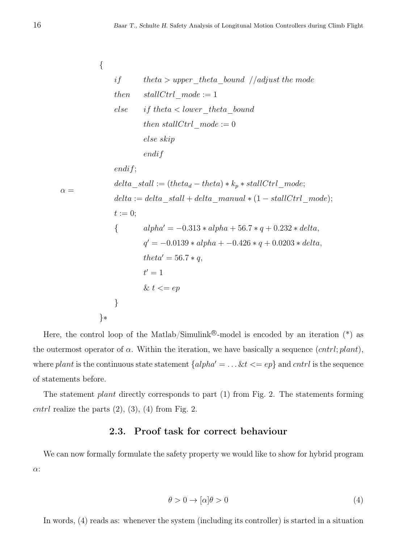$\alpha =$ { if theta > upper theta bound //adjust the mode then  $stallCtrl \ mode := 1$ else if theta  $\lt$  lower theta bound then stallCtrl  $mode := 0$ else skip endif endif;  $delta\_stall := (theta_d - theta) * k_p * stallCtrl\_mode;$  $delta := delta\_stall + delta\_manuel * (1 - stallCtrl\_mode);$  $t := 0;$ {  $alpha' = -0.313 * alpha + 56.7 * q + 0.232 * delta,$  $q' = -0.0139 * alpha + -0.426 * q + 0.0203 * delta,$  $theta' = 56.7 * q,$  $t'=1$ &  $t \leq e p$ } }∗

Here, the control loop of the Matlab/Simulink<sup>®</sup>-model is encoded by an iteration  $(*)$  as the outermost operator of  $\alpha$ . Within the iteration, we have basically a sequence  $(cntrl; plant)$ , where plant is the continuous state statement  $\{alpha/ph\alpha' = \ldots \& t \leq ep\}$  and cntrl is the sequence of statements before.

The statement *plant* directly corresponds to part (1) from Fig. 2. The statements forming cntrl realize the parts  $(2)$ ,  $(3)$ ,  $(4)$  from Fig. 2.

#### 2.3. Proof task for correct behaviour

We can now formally formulate the safety property we would like to show for hybrid program α:

$$
\theta > 0 \to [\alpha]\theta > 0 \tag{4}
$$

In words, (4) reads as: whenever the system (including its controller) is started in a situation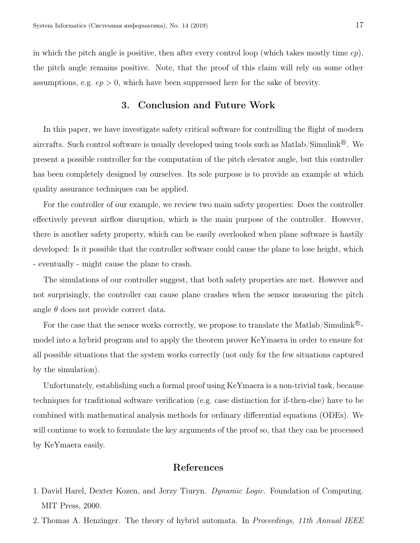in which the pitch angle is positive, then after every control loop (which takes mostly time  $ep$ ), the pitch angle remains positive. Note, that the proof of this claim will rely on some other assumptions, e.g.  $ep > 0$ , which have been suppressed here for the sake of brevity.

#### 3. Conclusion and Future Work

In this paper, we have investigate safety critical software for controlling the flight of modern aircrafts. Such control software is usually developed using tools such as Matlab/Simulink<sup>®</sup>. We present a possible controller for the computation of the pitch elevator angle, but this controller has been completely designed by ourselves. Its sole purpose is to provide an example at which quality assurance techniques can be applied.

For the controller of our example, we review two main safety properties: Does the controller effectively prevent airflow disruption, which is the main purpose of the controller. However, there is another safety property, which can be easily overlooked when plane software is hastily developed: Is it possible that the controller software could cause the plane to lose height, which - eventually - might cause the plane to crash.

The simulations of our controller suggest, that both safety properties are met. However and not surprisingly, the controller can cause plane crashes when the sensor measuring the pitch angle  $\theta$  does not provide correct data.

For the case that the sensor works correctly, we propose to translate the Matlab/Simulink<sup>®</sup>model into a hybrid program and to apply the theorem prover KeYmaera in order to ensure for all possible situations that the system works correctly (not only for the few situations captured by the simulation).

Unfortunately, establishing such a formal proof using KeYmaera is a non-trivial task, because techniques for traditional software verification (e.g. case distinction for if-then-else) have to be combined with mathematical analysis methods for ordinary differential equations (ODEs). We will continue to work to formulate the key arguments of the proof so, that they can be processed by KeYmaera easily.

#### References

- 1. David Harel, Dexter Kozen, and Jerzy Tiuryn. Dynamic Logic. Foundation of Computing. MIT Press, 2000.
- 2. Thomas A. Henzinger. The theory of hybrid automata. In *Proceedings*, 11th Annual IEEE